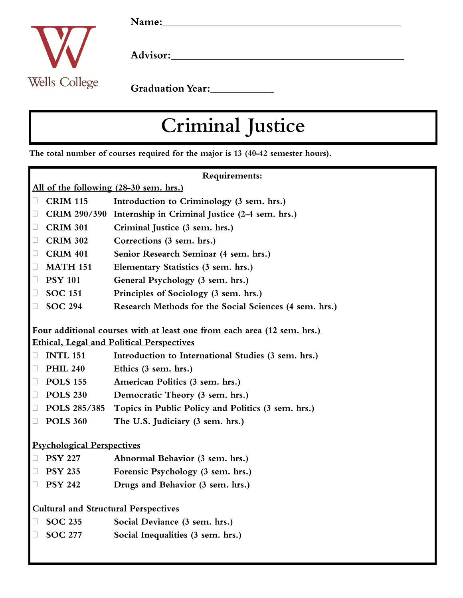

Advisor:

Graduation Year:<br>
<u>Carlian Year:</u>

## Criminal Justice

The total number of courses required for the major is 13 (40-42 semester hours).

| Requirements:                                                           |                     |                                                        |
|-------------------------------------------------------------------------|---------------------|--------------------------------------------------------|
| All of the following (28-30 sem. hrs.)                                  |                     |                                                        |
| $\Box$                                                                  | <b>CRIM 115</b>     | Introduction to Criminology (3 sem. hrs.)              |
| $\Box$                                                                  | <b>CRIM 290/390</b> | Internship in Criminal Justice (2-4 sem. hrs.)         |
| $\Box$                                                                  | <b>CRIM 301</b>     | Criminal Justice (3 sem. hrs.)                         |
| $\Box$                                                                  | <b>CRIM 302</b>     | Corrections (3 sem. hrs.)                              |
| $\Box$                                                                  | <b>CRIM 401</b>     | Senior Research Seminar (4 sem. hrs.)                  |
| $\Box$                                                                  | <b>MATH 151</b>     | Elementary Statistics (3 sem. hrs.)                    |
| $\Box$                                                                  | <b>PSY 101</b>      | General Psychology (3 sem. hrs.)                       |
| $\Box$                                                                  | <b>SOC 151</b>      | Principles of Sociology (3 sem. hrs.)                  |
| $\Box$                                                                  | <b>SOC 294</b>      | Research Methods for the Social Sciences (4 sem. hrs.) |
|                                                                         |                     |                                                        |
| Four additional courses with at least one from each area (12 sem. hrs.) |                     |                                                        |
| <b>Ethical, Legal and Political Perspectives</b>                        |                     |                                                        |
| $\Box$                                                                  | <b>INTL 151</b>     | Introduction to International Studies (3 sem. hrs.)    |
| $\Box$                                                                  | <b>PHIL 240</b>     | Ethics (3 sem. hrs.)                                   |
| $\Box$                                                                  | <b>POLS 155</b>     | American Politics (3 sem. hrs.)                        |
| $\Box$                                                                  | <b>POLS 230</b>     | Democratic Theory (3 sem. hrs.)                        |
| $\Box$                                                                  | POLS 285/385        | Topics in Public Policy and Politics (3 sem. hrs.)     |
| $\Box$                                                                  | <b>POLS 360</b>     | The U.S. Judiciary (3 sem. hrs.)                       |
|                                                                         |                     |                                                        |
| <b>Psychological Perspectives</b>                                       |                     |                                                        |
| $\Box$                                                                  | <b>PSY 227</b>      | Abnormal Behavior (3 sem. hrs.)                        |
| $\Box$                                                                  | <b>PSY 235</b>      | Forensic Psychology (3 sem. hrs.)                      |
| Ш                                                                       | <b>PSY 242</b>      | Drugs and Behavior (3 sem. hrs.)                       |
|                                                                         |                     |                                                        |
| <b>Cultural and Structural Perspectives</b>                             |                     |                                                        |
| Ц                                                                       | <b>SOC 235</b>      | Social Deviance (3 sem. hrs.)                          |
| $\Box$                                                                  | <b>SOC 277</b>      | Social Inequalities (3 sem. hrs.)                      |
|                                                                         |                     |                                                        |